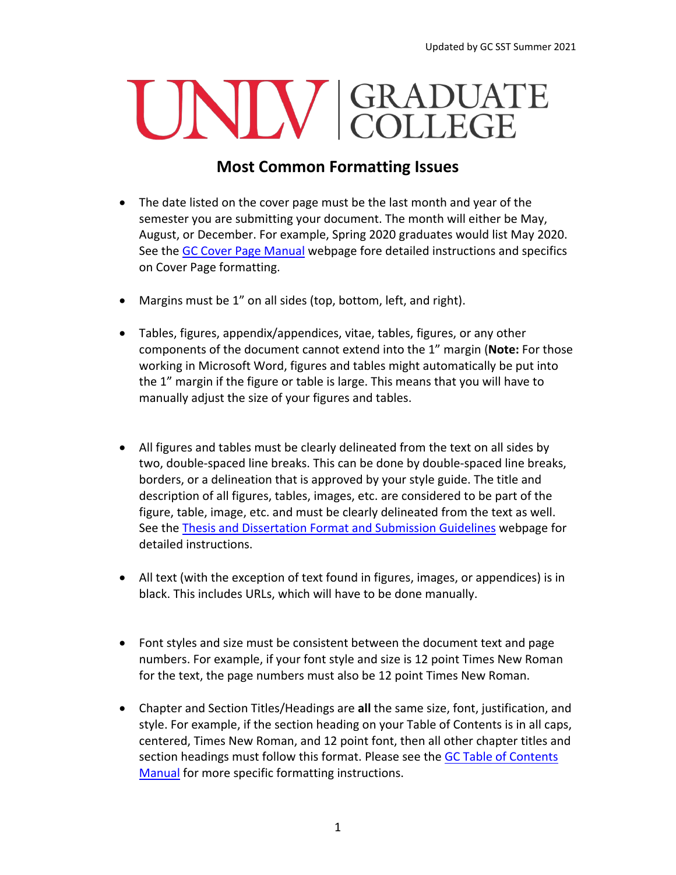## UNIV GRADUATE

## **Most Common Formatting Issues**

- The date listed on the cover page must be the last month and year of the semester you are submitting your document. The month will either be May, August, or December. For example, Spring 2020 graduates would list May 2020. See the [GC Cover Page Manual](https://www.unlv.edu/sites/default/files/page_files/27/GradCollege-CoverPageManual.pdf) webpage fore detailed instructions and specifics on Cover Page formatting.
- Margins must be 1" on all sides (top, bottom, left, and right).
- Tables, figures, appendix/appendices, vitae, tables, figures, or any other components of the document cannot extend into the 1" margin (**Note:** For those working in Microsoft Word, figures and tables might automatically be put into the 1" margin if the figure or table is large. This means that you will have to manually adjust the size of your figures and tables.
- All figures and tables must be clearly delineated from the text on all sides by two, double-spaced line breaks. This can be done by double-spaced line breaks, borders, or a delineation that is approved by your style guide. The title and description of all figures, tables, images, etc. are considered to be part of the figure, table, image, etc. and must be clearly delineated from the text as well. See the [Thesis and Dissertation Format and Submission Guidelines](https://www.unlv.edu/graduatecollege/thesis) webpage for detailed instructions.
- All text (with the exception of text found in figures, images, or appendices) is in black. This includes URLs, which will have to be done manually.
- Font styles and size must be consistent between the document text and page numbers. For example, if your font style and size is 12 point Times New Roman for the text, the page numbers must also be 12 point Times New Roman.
- Chapter and Section Titles/Headings are **all** the same size, font, justification, and style. For example, if the section heading on your Table of Contents is in all caps, centered, Times New Roman, and 12 point font, then all other chapter titles and section headings must follow this format. Please see the [GC Table of Contents](https://www.unlv.edu/sites/default/files/page_files/3/8_TableofContentsManual.pdf)  [Manual](https://www.unlv.edu/sites/default/files/page_files/3/8_TableofContentsManual.pdf) for more specific formatting instructions.